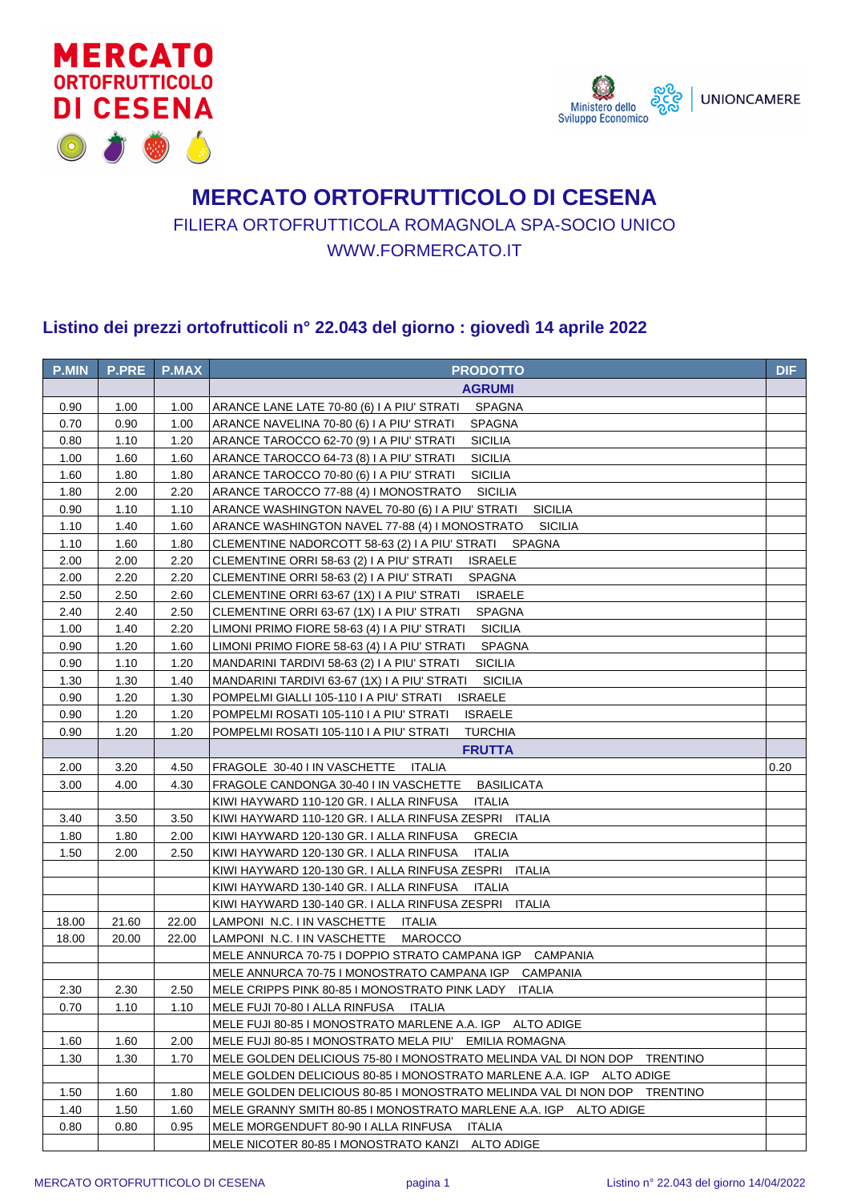



## **MERCATO ORTOFRUTTICOLO DI CESENA** FILIERA ORTOFRUTTICOLA ROMAGNOLA SPA-SOCIO UNICO WWW.FORMERCATO.IT

## **Listino dei prezzi ortofrutticoli n° 22.043 del giorno : giovedì 14 aprile 2022**

| <b>P.MIN</b> | <b>P.PRE</b> | <b>P.MAX</b> | <b>PRODOTTO</b>                                                          | <b>DIF</b> |
|--------------|--------------|--------------|--------------------------------------------------------------------------|------------|
|              |              |              | <b>AGRUMI</b>                                                            |            |
| 0.90         | 1.00         | 1.00         | SPAGNA<br>ARANCE LANE LATE 70-80 (6) I A PIU' STRATI                     |            |
| 0.70         | 0.90         | 1.00         | ARANCE NAVELINA 70-80 (6) I A PIU' STRATI<br><b>SPAGNA</b>               |            |
| 0.80         | 1.10         | 1.20         | <b>SICILIA</b><br>ARANCE TAROCCO 62-70 (9) I A PIU' STRATI               |            |
| 1.00         | 1.60         | 1.60         | <b>SICILIA</b><br>ARANCE TAROCCO 64-73 (8) I A PIU' STRATI               |            |
| 1.60         | 1.80         | 1.80         | <b>SICILIA</b><br>ARANCE TAROCCO 70-80 (6) I A PIU' STRATI               |            |
| 1.80         | 2.00         | 2.20         | ARANCE TAROCCO 77-88 (4) I MONOSTRATO<br><b>SICILIA</b>                  |            |
| 0.90         | 1.10         | 1.10         | <b>SICILIA</b><br>ARANCE WASHINGTON NAVEL 70-80 (6) I A PIU' STRATI      |            |
| 1.10         | 1.40         | 1.60         | ARANCE WASHINGTON NAVEL 77-88 (4) I MONOSTRATO<br><b>SICILIA</b>         |            |
| 1.10         | 1.60         | 1.80         | CLEMENTINE NADORCOTT 58-63 (2) I A PIU' STRATI SPAGNA                    |            |
| 2.00         | 2.00         | 2.20         | <b>ISRAELE</b><br>CLEMENTINE ORRI 58-63 (2) I A PIU' STRATI              |            |
| 2.00         | 2.20         | 2.20         | CLEMENTINE ORRI 58-63 (2) I A PIU' STRATI<br><b>SPAGNA</b>               |            |
| 2.50         | 2.50         | 2.60         | CLEMENTINE ORRI 63-67 (1X) I A PIU' STRATI<br><b>ISRAELE</b>             |            |
| 2.40         | 2.40         | 2.50         | CLEMENTINE ORRI 63-67 (1X) I A PIU' STRATI<br><b>SPAGNA</b>              |            |
| 1.00         | 1.40         | 2.20         | LIMONI PRIMO FIORE 58-63 (4) I A PIU' STRATI<br><b>SICILIA</b>           |            |
| 0.90         | 1.20         | 1.60         | LIMONI PRIMO FIORE 58-63 (4) I A PIU' STRATI<br><b>SPAGNA</b>            |            |
| 0.90         | 1.10         | 1.20         | <b>SICILIA</b><br>MANDARINI TARDIVI 58-63 (2) I A PIU' STRATI            |            |
| 1.30         | 1.30         | 1.40         | <b>SICILIA</b><br>MANDARINI TARDIVI 63-67 (1X) I A PIU' STRATI           |            |
| 0.90         | 1.20         | 1.30         | POMPELMI GIALLI 105-110 I A PIU' STRATI<br><b>ISRAELE</b>                |            |
| 0.90         | 1.20         | 1.20         | POMPELMI ROSATI 105-110 I A PIU' STRATI<br><b>ISRAELE</b>                |            |
| 0.90         | 1.20         | 1.20         | POMPELMI ROSATI 105-110 I A PIU' STRATI<br><b>TURCHIA</b>                |            |
|              |              |              | <b>FRUTTA</b>                                                            |            |
| 2.00         | 3.20         | 4.50         | FRAGOLE 30-40 I IN VASCHETTE<br>ITALIA                                   | 0.20       |
| 3.00         | 4.00         | 4.30         | <b>BASILICATA</b><br>FRAGOLE CANDONGA 30-40 I IN VASCHETTE               |            |
|              |              |              | KIWI HAYWARD 110-120 GR. I ALLA RINFUSA<br><b>ITALIA</b>                 |            |
| 3.40         | 3.50         | 3.50         | KIWI HAYWARD 110-120 GR. I ALLA RINFUSA ZESPRI ITALIA                    |            |
| 1.80         | 1.80         | 2.00         | KIWI HAYWARD 120-130 GR. I ALLA RINFUSA<br><b>GRECIA</b>                 |            |
| 1.50         | 2.00         | 2.50         | KIWI HAYWARD 120-130 GR. I ALLA RINFUSA<br><b>ITALIA</b>                 |            |
|              |              |              | KIWI HAYWARD 120-130 GR. I ALLA RINFUSA ZESPRI ITALIA                    |            |
|              |              |              | KIWI HAYWARD 130-140 GR. I ALLA RINFUSA<br>ITALIA                        |            |
|              |              |              | KIWI HAYWARD 130-140 GR. I ALLA RINFUSA ZESPRI ITALIA                    |            |
| 18.00        | 21.60        | 22.00        | LAMPONI N.C. I IN VASCHETTE<br>ITALIA                                    |            |
| 18.00        | 20.00        | 22.00        | LAMPONI N.C. I IN VASCHETTE<br><b>MAROCCO</b>                            |            |
|              |              |              | MELE ANNURCA 70-75 I DOPPIO STRATO CAMPANA IGP CAMPANIA                  |            |
|              |              |              | MELE ANNURCA 70-75 I MONOSTRATO CAMPANA IGP CAMPANIA                     |            |
| 2.30         | 2.30         | 2.50         | MELE CRIPPS PINK 80-85 I MONOSTRATO PINK LADY ITALIA                     |            |
| 0.70         | 1.10         | 1.10         | MELE FUJI 70-80 I ALLA RINFUSA<br>ITALIA                                 |            |
|              |              |              | MELE FUJI 80-85 I MONOSTRATO MARLENE A.A. IGP ALTO ADIGE                 |            |
| 1.60         | 1.60         | 2.00         | MELE FUJI 80-85 I MONOSTRATO MELA PIU' EMILIA ROMAGNA                    |            |
| 1.30         | 1.30         | 1.70         | MELE GOLDEN DELICIOUS 75-80 I MONOSTRATO MELINDA VAL DI NON DOP TRENTINO |            |
|              |              |              | MELE GOLDEN DELICIOUS 80-85 I MONOSTRATO MARLENE A.A. IGP ALTO ADIGE     |            |
| 1.50         | 1.60         | 1.80         | MELE GOLDEN DELICIOUS 80-85 I MONOSTRATO MELINDA VAL DI NON DOP TRENTINO |            |
| 1.40         | 1.50         | 1.60         | MELE GRANNY SMITH 80-85 I MONOSTRATO MARLENE A.A. IGP ALTO ADIGE         |            |
| 0.80         | 0.80         | 0.95         | MELE MORGENDUFT 80-90 I ALLA RINFUSA<br>ITALIA                           |            |
|              |              |              | MELE NICOTER 80-85 I MONOSTRATO KANZI ALTO ADIGE                         |            |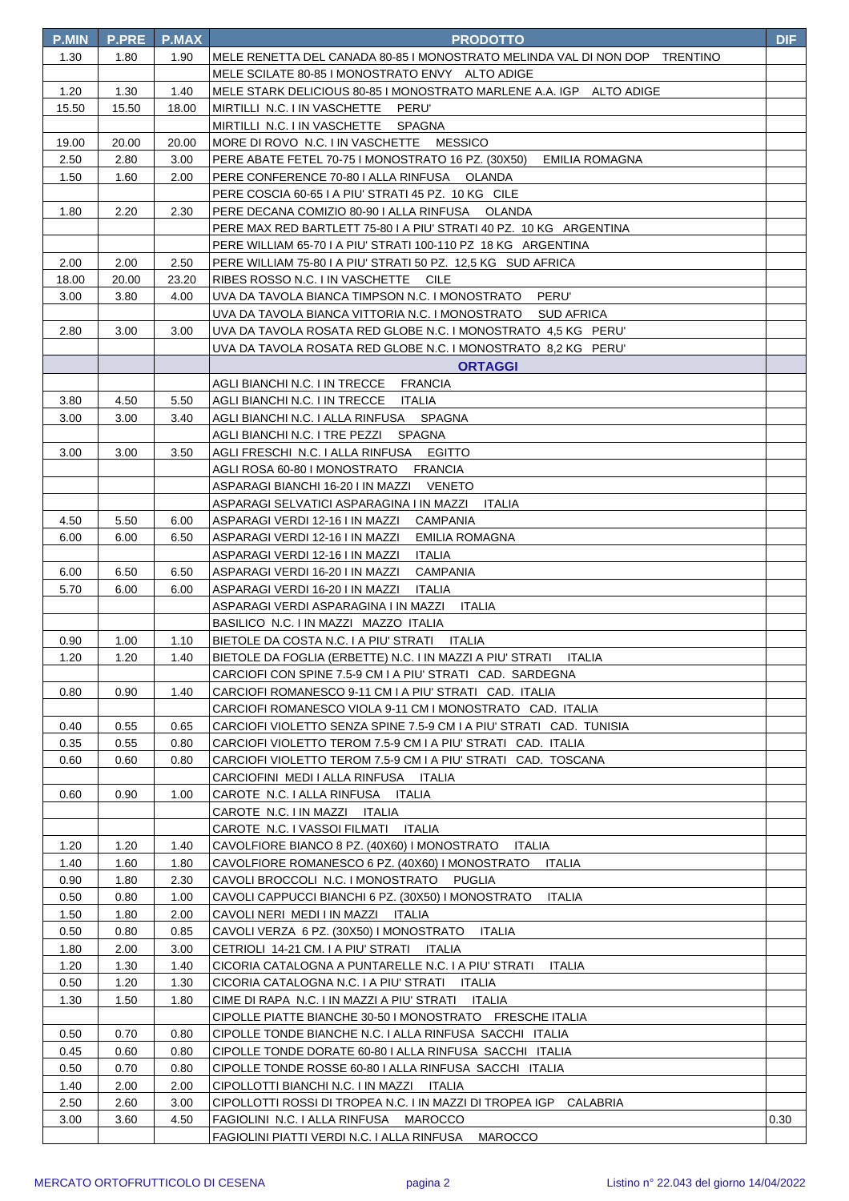| <b>P.MIN</b> | <b>P.PRE</b> | <b>P.MAX</b> | <b>PRODOTTO</b>                                                               | <b>DIF</b> |
|--------------|--------------|--------------|-------------------------------------------------------------------------------|------------|
| 1.30         | 1.80         | 1.90         | MELE RENETTA DEL CANADA 80-85 I MONOSTRATO MELINDA VAL DI NON DOP TRENTINO    |            |
|              |              |              | MELE SCILATE 80-85 I MONOSTRATO ENVY ALTO ADIGE                               |            |
| 1.20         | 1.30         | 1.40         | MELE STARK DELICIOUS 80-85 I MONOSTRATO MARLENE A.A. IGP ALTO ADIGE           |            |
| 15.50        | 15.50        | 18.00        | MIRTILLI N.C. I IN VASCHETTE PERU'                                            |            |
|              |              |              | MIRTILLI N.C. I IN VASCHETTE SPAGNA                                           |            |
| 19.00        | 20.00        | 20.00        | MORE DI ROVO N.C. I IN VASCHETTE MESSICO                                      |            |
| 2.50         | 2.80         | 3.00         | PERE ABATE FETEL 70-75 I MONOSTRATO 16 PZ. (30X50) EMILIA ROMAGNA             |            |
| 1.50         | 1.60         | 2.00         | PERE CONFERENCE 70-80   ALLA RINFUSA  OLANDA                                  |            |
|              |              |              | PERE COSCIA 60-65 I A PIU' STRATI 45 PZ. 10 KG CILE                           |            |
| 1.80         | 2.20         | 2.30         | PERE DECANA COMIZIO 80-90 I ALLA RINFUSA OLANDA                               |            |
|              |              |              | PERE MAX RED BARTLETT 75-80 I A PIU' STRATI 40 PZ. 10 KG ARGENTINA            |            |
|              |              |              | PERE WILLIAM 65-70 I A PIU' STRATI 100-110 PZ 18 KG ARGENTINA                 |            |
| 2.00         | 2.00         | 2.50         | PERE WILLIAM 75-80 I A PIU' STRATI 50 PZ. 12,5 KG SUD AFRICA                  |            |
| 18.00        | 20.00        | 23.20        | RIBES ROSSO N.C. I IN VASCHETTE CILE                                          |            |
| 3.00         | 3.80         | 4.00         | UVA DA TAVOLA BIANCA TIMPSON N.C. I MONOSTRATO PERU'                          |            |
| 2.80         | 3.00         | 3.00         | UVA DA TAVOLA ROSATA RED GLOBE N.C. I MONOSTRATO 4,5 KG PERU'                 |            |
|              |              |              | UVA DA TAVOLA ROSATA RED GLOBE N.C. I MONOSTRATO  8,2 KG   PERU'              |            |
|              |              |              | <b>ORTAGGI</b>                                                                |            |
|              |              |              | AGLI BIANCHI N.C. I IN TRECCE<br><b>FRANCIA</b>                               |            |
| 3.80         | 4.50         | 5.50         | AGLI BIANCHI N.C. I IN TRECCE ITALIA                                          |            |
| 3.00         | 3.00         | 3.40         | AGLI BIANCHI N.C. I ALLA RINFUSA SPAGNA                                       |            |
|              |              |              | AGLI BIANCHI N.C. I TRE PEZZI SPAGNA                                          |            |
| 3.00         | 3.00         | 3.50         | AGLI FRESCHI  N.C. I ALLA RINFUSA<br><b>EGITTO</b>                            |            |
|              |              |              | AGLI ROSA 60-80 I MONOSTRATO FRANCIA                                          |            |
|              |              |              | ASPARAGI BIANCHI 16-20 I IN MAZZI VENETO                                      |            |
|              |              |              | ASPARAGI SELVATICI ASPARAGINA I IN MAZZI ITALIA                               |            |
| 4.50         | 5.50         | 6.00         | ASPARAGI VERDI 12-16 I IN MAZZI<br>CAMPANIA                                   |            |
| 6.00         | 6.00         | 6.50         | ASPARAGI VERDI 12-16 I IN MAZZI<br><b>EMILIA ROMAGNA</b>                      |            |
|              |              |              | ASPARAGI VERDI 12-16 I IN MAZZI<br><b>ITALIA</b>                              |            |
| 6.00         | 6.50         | 6.50         | ASPARAGI VERDI 16-20 I IN MAZZI<br><b>CAMPANIA</b>                            |            |
| 5.70         | 6.00         | 6.00         | ASPARAGI VERDI 16-20 I IN MAZZI<br>ITALIA                                     |            |
|              |              |              | ASPARAGI VERDI ASPARAGINA I IN MAZZI ITALIA                                   |            |
|              |              |              | BASILICO N.C. I IN MAZZI MAZZO ITALIA                                         |            |
| 0.90         | 1.00         | 1.10         | BIETOLE DA COSTA N.C. I A PIU' STRATI ITALIA                                  |            |
| 1.20         | 1.20         | 1.40         | BIETOLE DA FOGLIA (ERBETTE) N.C. I IN MAZZI A PIU' STRATI<br><b>ITALIA</b>    |            |
|              |              |              | CARCIOFI CON SPINE 7.5-9 CM I A PIU' STRATI CAD. SARDEGNA                     |            |
| 0.80         | 0.90         | 1.40         | CARCIOFI ROMANESCO 9-11 CM I A PIU' STRATI - CAD. ITALIA                      |            |
|              |              |              | CARCIOFI ROMANESCO VIOLA 9-11 CM I MONOSTRATO CAD. ITALIA                     |            |
| 0.40         | 0.55         | 0.65         | CARCIOFI VIOLETTO SENZA SPINE 7.5-9 CM I A PIU' STRATI CAD. TUNISIA           |            |
| 0.35         | 0.55         | 0.80         | CARCIOFI VIOLETTO TEROM 7.5-9 CM I A PIU' STRATI CAD. ITALIA                  |            |
| 0.60         | 0.60         | 0.80         | CARCIOFI VIOLETTO TEROM 7.5-9 CM I A PIU' STRATI CAD. TOSCANA                 |            |
| 0.60         | 0.90         | 1.00         | CARCIOFINI MEDI I ALLA RINFUSA ITALIA<br>CAROTE N.C. I ALLA RINFUSA<br>ITALIA |            |
|              |              |              | CAROTE N.C. I IN MAZZI ITALIA                                                 |            |
|              |              |              | CAROTE N.C. I VASSOI FILMATI ITALIA                                           |            |
| 1.20         | 1.20         | 1.40         | CAVOLFIORE BIANCO 8 PZ. (40X60) I MONOSTRATO<br>ITALIA                        |            |
| 1.40         | 1.60         | 1.80         | CAVOLFIORE ROMANESCO 6 PZ. (40X60) I MONOSTRATO<br><b>ITALIA</b>              |            |
| 0.90         | 1.80         | 2.30         | CAVOLI BROCCOLI N.C. I MONOSTRATO<br>PUGLIA                                   |            |
| 0.50         | 0.80         | 1.00         | CAVOLI CAPPUCCI BIANCHI 6 PZ. (30X50) I MONOSTRATO<br>ITALIA                  |            |
| 1.50         | 1.80         | 2.00         | CAVOLI NERI MEDI I IN MAZZI ITALIA                                            |            |
| 0.50         | 0.80         | 0.85         | CAVOLI VERZA 6 PZ. (30X50) I MONOSTRATO<br>ITALIA                             |            |
| 1.80         | 2.00         | 3.00         | CETRIOLI 14-21 CM. I A PIU' STRATI ITALIA                                     |            |
| 1.20         | 1.30         | 1.40         | CICORIA CATALOGNA A PUNTARELLE N.C. I A PIU' STRATI<br>ITALIA                 |            |
| 0.50         | 1.20         | 1.30         | CICORIA CATALOGNA N.C. I A PIU' STRATI ITALIA                                 |            |
| 1.30         | 1.50         | 1.80         | CIME DI RAPA N.C. I IN MAZZI A PIU' STRATI<br>ITALIA                          |            |
|              |              |              | CIPOLLE PIATTE BIANCHE 30-50 I MONOSTRATO FRESCHE ITALIA                      |            |
| 0.50         | 0.70         | 0.80         | CIPOLLE TONDE BIANCHE N.C. I ALLA RINFUSA SACCHI ITALIA                       |            |
| 0.45         | 0.60         | 0.80         | CIPOLLE TONDE DORATE 60-80 I ALLA RINFUSA SACCHI ITALIA                       |            |
| 0.50         | 0.70         | 0.80         | CIPOLLE TONDE ROSSE 60-80 I ALLA RINFUSA SACCHI ITALIA                        |            |
| 1.40         | 2.00         | 2.00         | CIPOLLOTTI BIANCHI N.C. I IN MAZZI ITALIA                                     |            |
| 2.50         | 2.60         | 3.00         | CIPOLLOTTI ROSSI DI TROPEA N.C. I IN MAZZI DI TROPEA IGP<br>CALABRIA          |            |
| 3.00         | 3.60         | 4.50         | FAGIOLINI N.C. I ALLA RINFUSA MAROCCO                                         | 0.30       |
|              |              |              | FAGIOLINI PIATTI VERDI N.C. I ALLA RINFUSA<br>MAROCCO                         |            |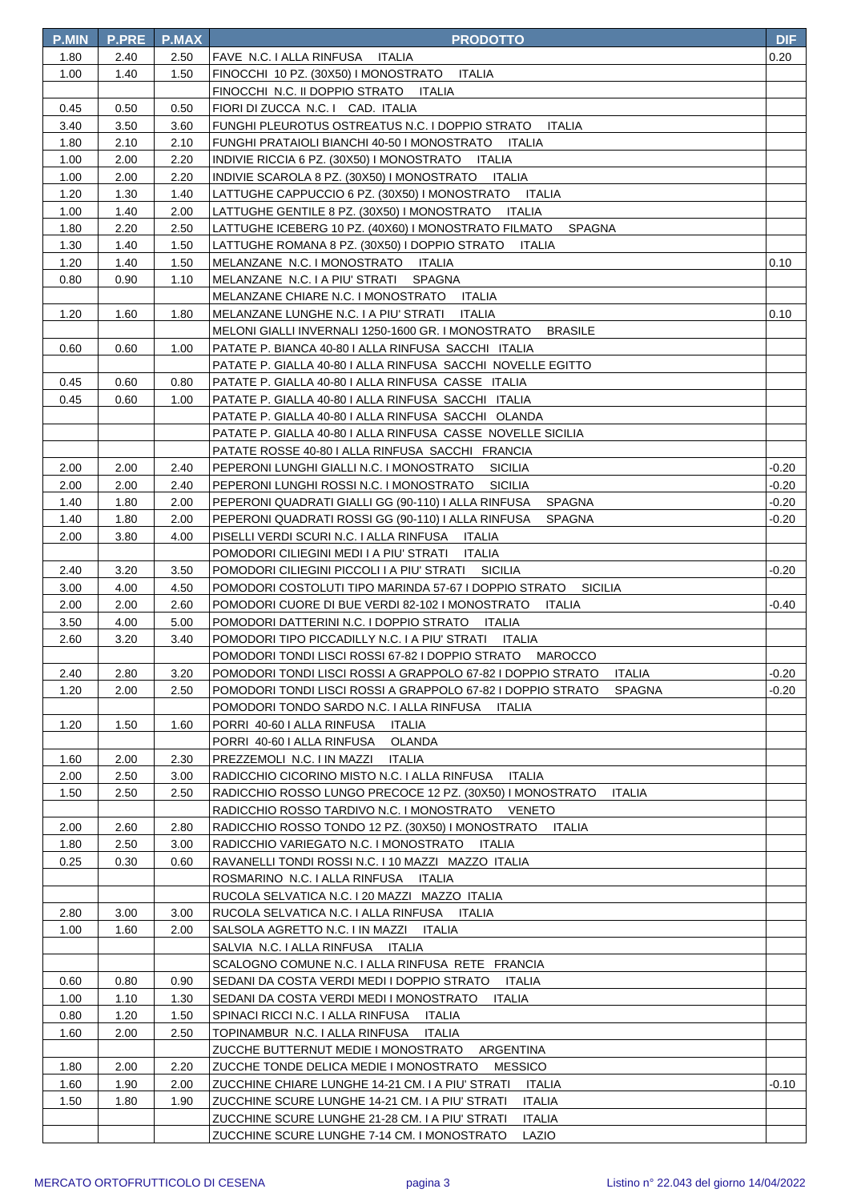| <b>P.MIN</b> | <b>P.PRE</b> | P.MAX | <b>PRODOTTO</b>                                                                                                                          | <b>DIF</b> |
|--------------|--------------|-------|------------------------------------------------------------------------------------------------------------------------------------------|------------|
| 1.80         | 2.40         | 2.50  | FAVE N.C. I ALLA RINFUSA ITALIA                                                                                                          | 0.20       |
| 1.00         | 1.40         | 1.50  | FINOCCHI 10 PZ. (30X50) I MONOSTRATO ITALIA                                                                                              |            |
|              |              |       | FINOCCHI N.C. II DOPPIO STRATO ITALIA                                                                                                    |            |
| 0.45         | 0.50         | 0.50  | FIORI DI ZUCCA N.C. I CAD. ITALIA                                                                                                        |            |
| 3.40         | 3.50         | 3.60  | FUNGHI PLEUROTUS OSTREATUS N.C. I DOPPIO STRATO<br><b>ITALIA</b>                                                                         |            |
| 1.80         | 2.10         | 2.10  | FUNGHI PRATAIOLI BIANCHI 40-50 I MONOSTRATO ITALIA                                                                                       |            |
| 1.00         | 2.00         | 2.20  | INDIVIE RICCIA 6 PZ. (30X50) I MONOSTRATO ITALIA                                                                                         |            |
| 1.00         | 2.00         | 2.20  | INDIVIE SCAROLA 8 PZ. (30X50) I MONOSTRATO ITALIA                                                                                        |            |
| 1.20         | 1.30         | 1.40  | ITALIA<br>LATTUGHE CAPPUCCIO 6 PZ. (30X50) I MONOSTRATO                                                                                  |            |
| 1.00         | 1.40         | 2.00  | LATTUGHE GENTILE 8 PZ. (30X50) I MONOSTRATO<br>ITALIA                                                                                    |            |
| 1.80         | 2.20         | 2.50  | LATTUGHE ICEBERG 10 PZ. (40X60) I MONOSTRATO FILMATO<br>SPAGNA                                                                           |            |
| 1.30         | 1.40         | 1.50  | LATTUGHE ROMANA 8 PZ. (30X50) I DOPPIO STRATO<br>ITALIA                                                                                  |            |
| 1.20         | 1.40         | 1.50  | MELANZANE N.C. I MONOSTRATO<br>ITALIA                                                                                                    | 0.10       |
| 0.80         | 0.90         | 1.10  | MELANZANE N.C. I A PIU' STRATI<br><b>SPAGNA</b>                                                                                          |            |
|              |              |       | MELANZANE CHIARE N.C. I MONOSTRATO<br>ITALIA                                                                                             |            |
| 1.20         | 1.60         | 1.80  | MELANZANE LUNGHE N.C. I A PIU' STRATI<br><b>ITALIA</b>                                                                                   | 0.10       |
|              |              |       | MELONI GIALLI INVERNALI 1250-1600 GR. I MONOSTRATO<br><b>BRASILE</b>                                                                     |            |
| 0.60         | 0.60         | 1.00  | PATATE P. BIANCA 40-80   ALLA RINFUSA SACCHI ITALIA                                                                                      |            |
|              |              |       | PATATE P. GIALLA 40-80 I ALLA RINFUSA SACCHI NOVELLE EGITTO                                                                              |            |
| 0.45         | 0.60         | 0.80  | PATATE P. GIALLA 40-80   ALLA RINFUSA CASSE ITALIA                                                                                       |            |
| 0.45         | 0.60         | 1.00  | PATATE P. GIALLA 40-80 I ALLA RINFUSA SACCHI ITALIA                                                                                      |            |
|              |              |       | PATATE P. GIALLA 40-80 I ALLA RINFUSA SACCHI OLANDA                                                                                      |            |
|              |              |       | PATATE P. GIALLA 40-80 I ALLA RINFUSA CASSE NOVELLE SICILIA                                                                              |            |
|              |              |       | PATATE ROSSE 40-80 I ALLA RINFUSA SACCHI FRANCIA                                                                                         |            |
| 2.00         | 2.00         | 2.40  | PEPERONI LUNGHI GIALLI N.C. I MONOSTRATO<br><b>SICILIA</b>                                                                               | -0.20      |
| 2.00         | 2.00         | 2.40  | PEPERONI LUNGHI ROSSI N.C. I MONOSTRATO<br><b>SICILIA</b>                                                                                | -0.20      |
| 1.40         | 1.80         | 2.00  | PEPERONI QUADRATI GIALLI GG (90-110) I ALLA RINFUSA<br><b>SPAGNA</b>                                                                     | $-0.20$    |
| 1.40         | 1.80         | 2.00  | PEPERONI QUADRATI ROSSI GG (90-110) I ALLA RINFUSA<br><b>SPAGNA</b>                                                                      | -0.20      |
| 2.00         | 3.80         | 4.00  | PISELLI VERDI SCURI N.C. I ALLA RINFUSA<br>ITALIA                                                                                        |            |
|              |              |       | POMODORI CILIEGINI MEDI I A PIU' STRATI<br>ITALIA                                                                                        |            |
| 2.40         | 3.20         | 3.50  | POMODORI CILIEGINI PICCOLI I A PIU' STRATI<br>SICILIA                                                                                    | -0.20      |
| 3.00         | 4.00         | 4.50  | POMODORI COSTOLUTI TIPO MARINDA 57-67 I DOPPIO STRATO<br><b>SICILIA</b>                                                                  |            |
| 2.00         | 2.00         | 2.60  | POMODORI CUORE DI BUE VERDI 82-102 I MONOSTRATO<br>ITALIA                                                                                | -0.40      |
| 3.50         | 4.00         | 5.00  | POMODORI DATTERINI N.C. I DOPPIO STRATO<br>ITALIA<br>ITALIA                                                                              |            |
| 2.60         | 3.20         | 3.40  | POMODORI TIPO PICCADILLY N.C. I A PIU' STRATI                                                                                            |            |
| 2.40         | 2.80         | 3.20  | POMODORI TONDI LISCI ROSSI 67-82 I DOPPIO STRATO MAROCCO<br>POMODORI TONDI LISCI ROSSI A GRAPPOLO 67-82 I DOPPIO STRATO<br><b>ITALIA</b> | -0.20      |
| 1.20         | 2.00         | 2.50  | POMODORI TONDI LISCI ROSSI A GRAPPOLO 67-82 I DOPPIO STRATO<br><b>SPAGNA</b>                                                             | -0.20      |
|              |              |       | POMODORI TONDO SARDO N.C. I ALLA RINFUSA ITALIA                                                                                          |            |
| 1.20         | 1.50         | 1.60  | PORRI 40-60   ALLA RINFUSA<br>ITALIA                                                                                                     |            |
|              |              |       | PORRI 40-60   ALLA RINFUSA<br>OLANDA                                                                                                     |            |
| 1.60         | 2.00         | 2.30  | PREZZEMOLI N.C. I IN MAZZI<br>ITALIA                                                                                                     |            |
| 2.00         | 2.50         | 3.00  | RADICCHIO CICORINO MISTO N.C. I ALLA RINFUSA<br>ITALIA                                                                                   |            |
| 1.50         | 2.50         | 2.50  | RADICCHIO ROSSO LUNGO PRECOCE 12 PZ. (30X50) I MONOSTRATO<br><b>ITALIA</b>                                                               |            |
|              |              |       | RADICCHIO ROSSO TARDIVO N.C. I MONOSTRATO VENETO                                                                                         |            |
| 2.00         | 2.60         | 2.80  | RADICCHIO ROSSO TONDO 12 PZ. (30X50) I MONOSTRATO<br>ITALIA                                                                              |            |
| 1.80         | 2.50         | 3.00  | RADICCHIO VARIEGATO N.C. I MONOSTRATO<br>ITALIA                                                                                          |            |
| 0.25         | 0.30         | 0.60  | RAVANELLI TONDI ROSSI N.C. I 10 MAZZI MAZZO ITALIA                                                                                       |            |
|              |              |       | ROSMARINO N.C. I ALLA RINFUSA<br>ITALIA                                                                                                  |            |
|              |              |       | RUCOLA SELVATICA N.C. I 20 MAZZI MAZZO ITALIA                                                                                            |            |
| 2.80         | 3.00         | 3.00  | RUCOLA SELVATICA N.C. I ALLA RINFUSA<br>ITALIA                                                                                           |            |
| 1.00         | 1.60         | 2.00  | SALSOLA AGRETTO N.C. I IN MAZZI<br><b>ITALIA</b>                                                                                         |            |
|              |              |       | SALVIA N.C. I ALLA RINFUSA<br>ITALIA                                                                                                     |            |
|              |              |       | SCALOGNO COMUNE N.C. I ALLA RINFUSA RETE FRANCIA                                                                                         |            |
| 0.60         | 0.80         | 0.90  | SEDANI DA COSTA VERDI MEDI I DOPPIO STRATO<br>ITALIA                                                                                     |            |
| 1.00         | 1.10         | 1.30  | SEDANI DA COSTA VERDI MEDI I MONOSTRATO<br>ITALIA                                                                                        |            |
| 0.80         | 1.20         | 1.50  | SPINACI RICCI N.C. I ALLA RINFUSA<br>ITALIA                                                                                              |            |
| 1.60         | 2.00         | 2.50  | TOPINAMBUR N.C. I ALLA RINFUSA<br><b>ITALIA</b>                                                                                          |            |
|              |              |       | ZUCCHE BUTTERNUT MEDIE I MONOSTRATO<br>ARGENTINA                                                                                         |            |
| 1.80         | 2.00         | 2.20  | <b>MESSICO</b><br>ZUCCHE TONDE DELICA MEDIE I MONOSTRATO                                                                                 |            |
| 1.60         | 1.90         | 2.00  | ZUCCHINE CHIARE LUNGHE 14-21 CM. I A PIU' STRATI<br>ITALIA                                                                               | -0.10      |
| 1.50         | 1.80         | 1.90  | ZUCCHINE SCURE LUNGHE 14-21 CM. I A PIU' STRATI<br><b>ITALIA</b>                                                                         |            |
|              |              |       | ZUCCHINE SCURE LUNGHE 21-28 CM. I A PIU' STRATI<br><b>ITALIA</b>                                                                         |            |
|              |              |       | ZUCCHINE SCURE LUNGHE 7-14 CM. I MONOSTRATO<br>LAZIO                                                                                     |            |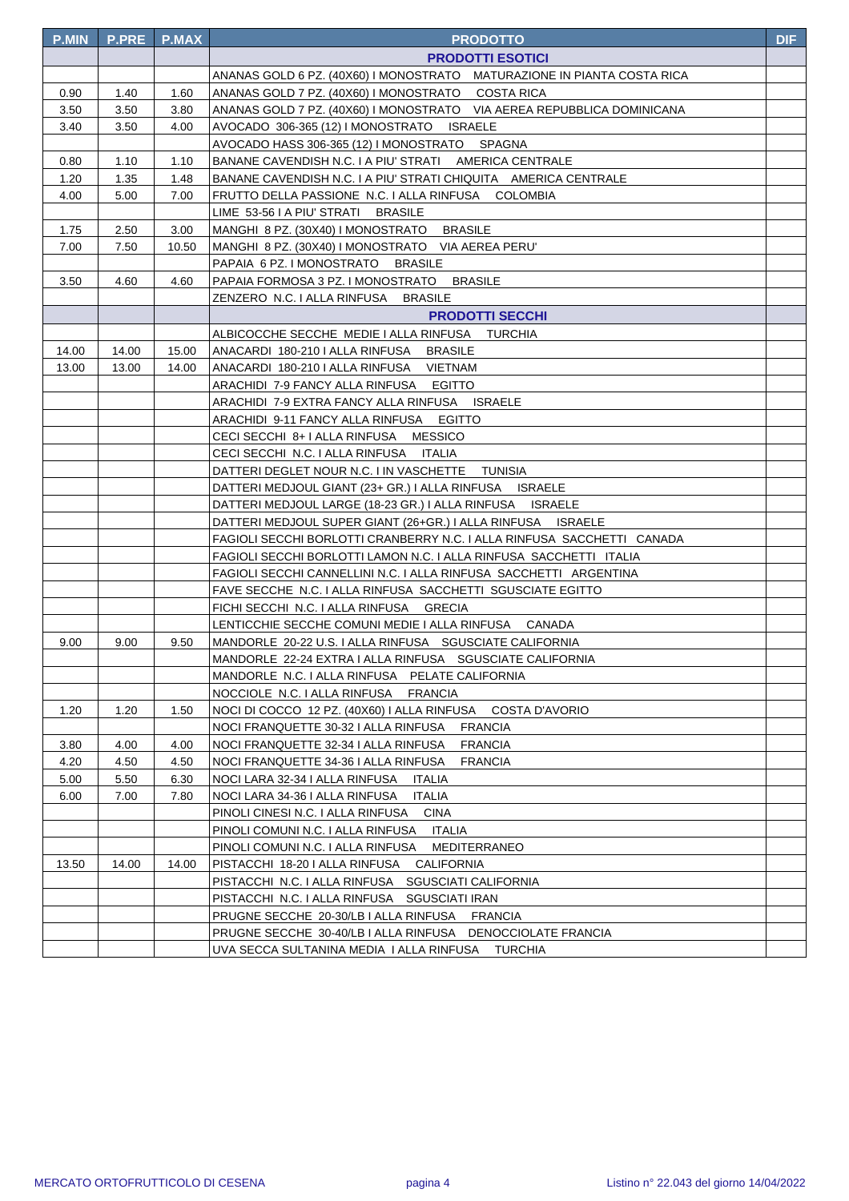| <b>P.MIN</b> | <b>P.PRE</b> | <b>P.MAX</b> | <b>PRODOTTO</b>                                                                                     | <b>DIF</b> |
|--------------|--------------|--------------|-----------------------------------------------------------------------------------------------------|------------|
|              |              |              | <b>PRODOTTI ESOTICI</b>                                                                             |            |
|              |              |              | ANANAS GOLD 6 PZ. (40X60) I MONOSTRATO MATURAZIONE IN PIANTA COSTA RICA                             |            |
| 0.90         | 1.40         | 1.60         | ANANAS GOLD 7 PZ. (40X60) I MONOSTRATO COSTA RICA                                                   |            |
| 3.50         | 3.50         | 3.80         | ANANAS GOLD 7 PZ. (40X60) I MONOSTRATO VIA AEREA REPUBBLICA DOMINICANA                              |            |
| 3.40         | 3.50         | 4.00         | AVOCADO 306-365 (12) I MONOSTRATO ISRAELE                                                           |            |
|              |              |              | AVOCADO HASS 306-365 (12) I MONOSTRATO SPAGNA                                                       |            |
| 0.80         | 1.10         | 1.10         | BANANE CAVENDISH N.C. I A PIU' STRATI AMERICA CENTRALE                                              |            |
| 1.20         | 1.35         | 1.48         | BANANE CAVENDISH N.C. I A PIU' STRATI CHIQUITA AMERICA CENTRALE                                     |            |
| 4.00         | 5.00         | 7.00         | FRUTTO DELLA PASSIONE N.C. I ALLA RINFUSA COLOMBIA                                                  |            |
|              |              |              | LIME 53-56 I A PIU' STRATI BRASILE                                                                  |            |
| 1.75         | 2.50         | 3.00         | MANGHI 8 PZ. (30X40) I MONOSTRATO BRASILE                                                           |            |
| 7.00         | 7.50         | 10.50        | MANGHI 8 PZ. (30X40) I MONOSTRATO VIA AEREA PERU'                                                   |            |
|              |              |              | PAPAIA 6 PZ. I MONOSTRATO BRASILE                                                                   |            |
| 3.50         | 4.60         | 4.60         | PAPAIA FORMOSA 3 PZ. I MONOSTRATO BRASILE                                                           |            |
|              |              |              | ZENZERO N.C. I ALLA RINFUSA BRASILE                                                                 |            |
|              |              |              | <b>PRODOTTI SECCHI</b>                                                                              |            |
|              |              |              | ALBICOCCHE SECCHE MEDIE I ALLA RINFUSA TURCHIA                                                      |            |
| 14.00        | 14.00        | 15.00        | ANACARDI 180-210   ALLA RINFUSA BRASILE                                                             |            |
| 13.00        | 13.00        | 14.00        | ANACARDI 180-210   ALLA RINFUSA VIETNAM                                                             |            |
|              |              |              | ARACHIDI 7-9 FANCY ALLA RINFUSA EGITTO                                                              |            |
|              |              |              | ARACHIDI 7-9 EXTRA FANCY ALLA RINFUSA ISRAELE                                                       |            |
|              |              |              | ARACHIDI 9-11 FANCY ALLA RINFUSA EGITTO                                                             |            |
|              |              |              | CECI SECCHI 8+ I ALLA RINFUSA MESSICO                                                               |            |
|              |              |              | CECI SECCHI N.C. I ALLA RINFUSA ITALIA                                                              |            |
|              |              |              | DATTERI DEGLET NOUR N.C. I IN VASCHETTE TUNISIA                                                     |            |
|              |              |              | DATTERI MEDJOUL GIANT (23+ GR.) I ALLA RINFUSA     ISRAELE                                          |            |
|              |              |              | DATTERI MEDJOUL LARGE (18-23 GR.) I ALLA RINFUSA     ISRAELE                                        |            |
|              |              |              | DATTERI MEDJOUL SUPER GIANT (26+GR.) I ALLA RINFUSA ISRAELE                                         |            |
|              |              |              | FAGIOLI SECCHI BORLOTTI CRANBERRY N.C. I ALLA RINFUSA SACCHETTI CANADA                              |            |
|              |              |              | FAGIOLI SECCHI BORLOTTI LAMON N.C. I ALLA RINFUSA SACCHETTI ITALIA                                  |            |
|              |              |              | FAGIOLI SECCHI CANNELLINI N.C. I ALLA RINFUSA SACCHETTI ARGENTINA                                   |            |
|              |              |              | FAVE SECCHE N.C. I ALLA RINFUSA SACCHETTI SGUSCIATE EGITTO                                          |            |
|              |              |              | FICHI SECCHI N.C. I ALLA RINFUSA GRECIA                                                             |            |
|              |              |              | LENTICCHIE SECCHE COMUNI MEDIE I ALLA RINFUSA CANADA                                                |            |
| 9.00         | 9.00         | 9.50         | MANDORLE 20-22 U.S. I ALLA RINFUSA SGUSCIATE CALIFORNIA                                             |            |
|              |              |              | MANDORLE 22-24 EXTRA I ALLA RINFUSA SGUSCIATE CALIFORNIA                                            |            |
|              |              |              | MANDORLE N.C. I ALLA RINFUSA PELATE CALIFORNIA                                                      |            |
|              |              |              | NOCCIOLE N.C. I ALLA RINFUSA<br><b>FRANCIA</b>                                                      |            |
| 1.20         | 1.20         | 1.50         | NOCI DI COCCO 12 PZ. (40X60) I ALLA RINFUSA<br>COSTA D'AVORIO                                       |            |
|              |              |              | NOCI FRANQUETTE 30-32 I ALLA RINFUSA<br><b>FRANCIA</b>                                              |            |
| 3.80         | 4.00         | 4.00         | NOCI FRANQUETTE 32-34 I ALLA RINFUSA<br><b>FRANCIA</b>                                              |            |
| 4.20         | 4.50         | 4.50         | NOCI FRANQUETTE 34-36 I ALLA RINFUSA<br><b>FRANCIA</b>                                              |            |
| 5.00         | 5.50         | 6.30         | NOCI LARA 32-34 I ALLA RINFUSA<br><b>ITALIA</b>                                                     |            |
| 6.00         | 7.00         | 7.80         | NOCI LARA 34-36 I ALLA RINFUSA<br><b>ITALIA</b><br>PINOLI CINESI N.C. I ALLA RINFUSA<br><b>CINA</b> |            |
|              |              |              | PINOLI COMUNI N.C. I ALLA RINFUSA                                                                   |            |
|              |              |              | ITALIA<br>PINOLI COMUNI N.C. I ALLA RINFUSA<br>MEDITERRANEO                                         |            |
| 13.50        | 14.00        | 14.00        | PISTACCHI 18-20 I ALLA RINFUSA<br>CALIFORNIA                                                        |            |
|              |              |              | PISTACCHI N.C. I ALLA RINFUSA SGUSCIATI CALIFORNIA                                                  |            |
|              |              |              | PISTACCHI N.C. I ALLA RINFUSA SGUSCIATI IRAN                                                        |            |
|              |              |              | PRUGNE SECCHE 20-30/LB I ALLA RINFUSA FRANCIA                                                       |            |
|              |              |              | PRUGNE SECCHE 30-40/LB I ALLA RINFUSA DENOCCIOLATE FRANCIA                                          |            |
|              |              |              | UVA SECCA SULTANINA MEDIA I ALLA RINFUSA TURCHIA                                                    |            |
|              |              |              |                                                                                                     |            |